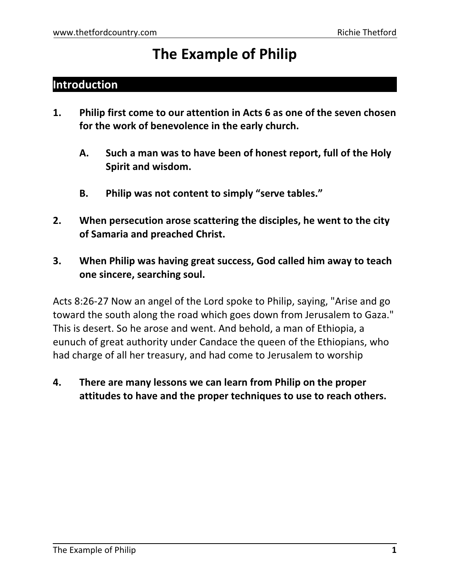# **The Example of Philip**

### **Introduction**

- **1. Philip first come to our attention in Acts 6 as one of the seven chosen for the work of benevolence in the early church.**
	- **A. Such a man was to have been of honest report, full of the Holy Spirit and wisdom.**
	- **B. Philip was not content to simply "serve tables."**
- **2. When persecution arose scattering the disciples, he went to the city of Samaria and preached Christ.**
- **3. When Philip was having great success, God called him away to teach one sincere, searching soul.**

Acts 8:26-27 Now an angel of the Lord spoke to Philip, saying, "Arise and go toward the south along the road which goes down from Jerusalem to Gaza." This is desert. So he arose and went. And behold, a man of Ethiopia, a eunuch of great authority under Candace the queen of the Ethiopians, who had charge of all her treasury, and had come to Jerusalem to worship

**4. There are many lessons we can learn from Philip on the proper attitudes to have and the proper techniques to use to reach others.**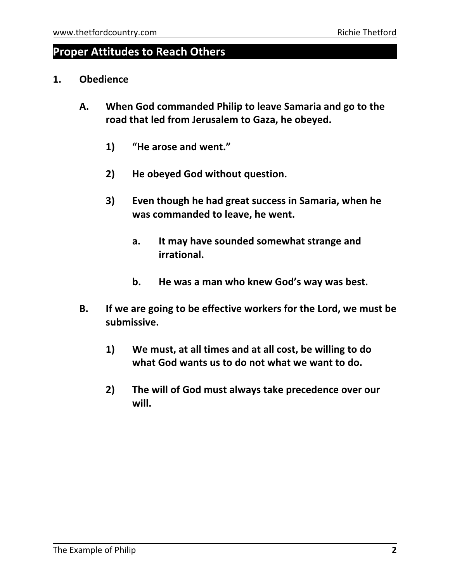### **Proper Attitudes to Reach Others**

- **1. Obedience**
	- **A. When God commanded Philip to leave Samaria and go to the road that led from Jerusalem to Gaza, he obeyed.**
		- **1) "He arose and went."**
		- **2) He obeyed God without question.**
		- **3) Even though he had great success in Samaria, when he was commanded to leave, he went.**
			- **a. It may have sounded somewhat strange and irrational.**
			- **b. He was a man who knew God's way was best.**
	- **B. If we are going to be effective workers for the Lord, we must be submissive.**
		- **1) We must, at all times and at all cost, be willing to do what God wants us to do not what we want to do.**
		- **2) The will of God must always take precedence over our will.**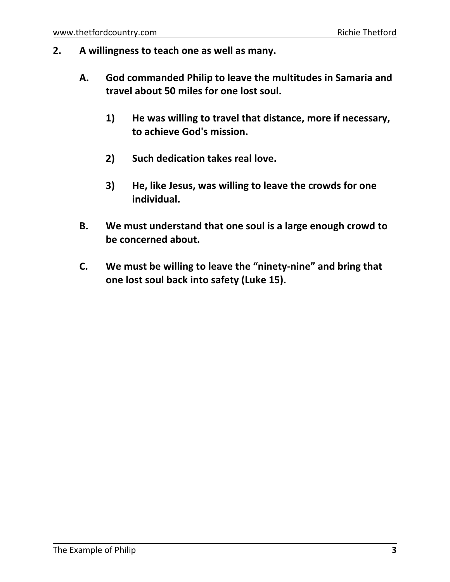- **2. A willingness to teach one as well as many.**
	- **A. God commanded Philip to leave the multitudes in Samaria and travel about 50 miles for one lost soul.**
		- **1) He was willing to travel that distance, more if necessary, to achieve God's mission.**
		- **2) Such dedication takes real love.**
		- **3) He, like Jesus, was willing to leave the crowds for one individual.**
	- **B. We must understand that one soul is a large enough crowd to be concerned about.**
	- **C. We must be willing to leave the "ninety-nine" and bring that one lost soul back into safety (Luke 15).**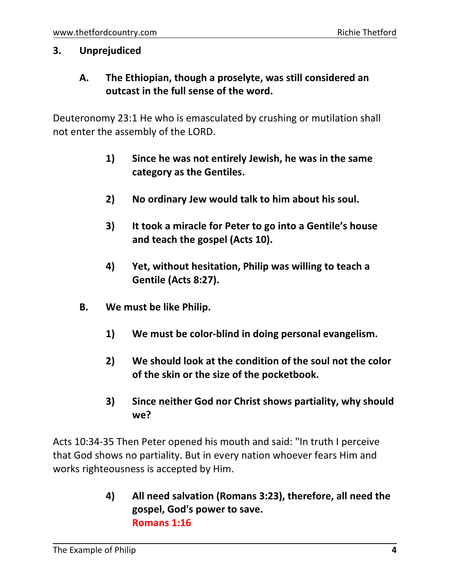#### **3. Unprejudiced**

**A. The Ethiopian, though a proselyte, was still considered an outcast in the full sense of the word.**

Deuteronomy 23:1 He who is emasculated by crushing or mutilation shall not enter the assembly of the LORD.

- **1) Since he was not entirely Jewish, he was in the same category as the Gentiles.**
- **2) No ordinary Jew would talk to him about his soul.**
- **3) It took a miracle for Peter to go into a Gentile's house and teach the gospel (Acts 10).**
- **4) Yet, without hesitation, Philip was willing to teach a Gentile (Acts 8:27).**
- **B. We must be like Philip.**
	- **1) We must be color-blind in doing personal evangelism.**
	- **2) We should look at the condition of the soul not the color of the skin or the size of the pocketbook.**
	- **3) Since neither God nor Christ shows partiality, why should we?**

Acts 10:34-35 Then Peter opened his mouth and said: "In truth I perceive that God shows no partiality. But in every nation whoever fears Him and works righteousness is accepted by Him.

> **4) All need salvation (Romans 3:23), therefore, all need the gospel, God's power to save. Romans 1:16**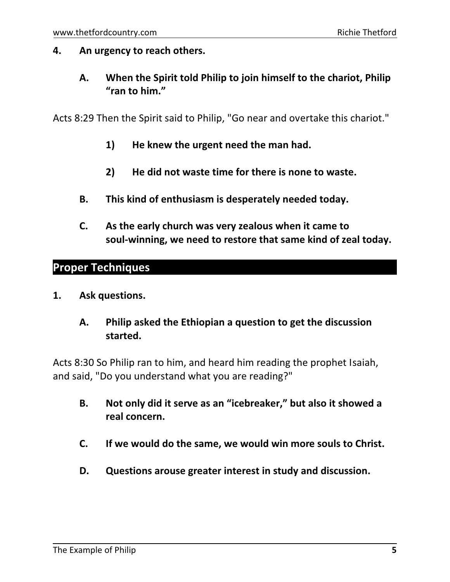#### **4. An urgency to reach others.**

**A. When the Spirit told Philip to join himself to the chariot, Philip "ran to him."**

Acts 8:29 Then the Spirit said to Philip, "Go near and overtake this chariot."

- **1) He knew the urgent need the man had.**
- **2) He did not waste time for there is none to waste.**
- **B. This kind of enthusiasm is desperately needed today.**
- **C. As the early church was very zealous when it came to soul-winning, we need to restore that same kind of zeal today.**

### **Proper Techniques**

**1. Ask questions.**

### **A. Philip asked the Ethiopian a question to get the discussion started.**

Acts 8:30 So Philip ran to him, and heard him reading the prophet Isaiah, and said, "Do you understand what you are reading?"

- **B. Not only did it serve as an "icebreaker," but also it showed a real concern.**
- **C. If we would do the same, we would win more souls to Christ.**
- **D. Questions arouse greater interest in study and discussion.**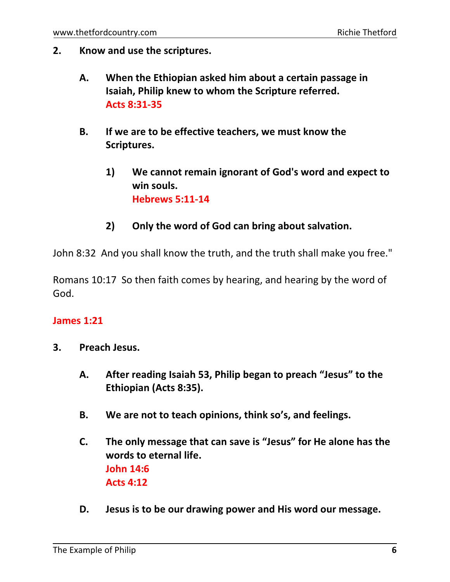- **2. Know and use the scriptures.**
	- **A. When the Ethiopian asked him about a certain passage in Isaiah, Philip knew to whom the Scripture referred. Acts 8:31-35**
	- **B. If we are to be effective teachers, we must know the Scriptures.**
		- **1) We cannot remain ignorant of God's word and expect to win souls. Hebrews 5:11-14**
		- **2) Only the word of God can bring about salvation.**

John 8:32 And you shall know the truth, and the truth shall make you free."

Romans 10:17 So then faith comes by hearing, and hearing by the word of God.

#### **James 1:21**

- **3. Preach Jesus.**
	- **A. After reading Isaiah 53, Philip began to preach "Jesus" to the Ethiopian (Acts 8:35).**
	- **B. We are not to teach opinions, think so's, and feelings.**
	- **C. The only message that can save is "Jesus" for He alone has the words to eternal life. John 14:6 Acts 4:12**
	- **D. Jesus is to be our drawing power and His word our message.**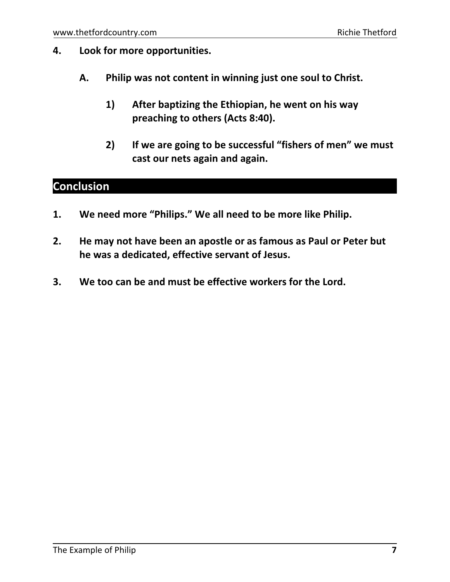- **4. Look for more opportunities.**
	- **A. Philip was not content in winning just one soul to Christ.**
		- **1) After baptizing the Ethiopian, he went on his way preaching to others (Acts 8:40).**
		- **2) If we are going to be successful "fishers of men" we must cast our nets again and again.**

### **Conclusion**

- **1. We need more "Philips." We all need to be more like Philip.**
- **2. He may not have been an apostle or as famous as Paul or Peter but he was a dedicated, effective servant of Jesus.**
- **3. We too can be and must be effective workers for the Lord.**